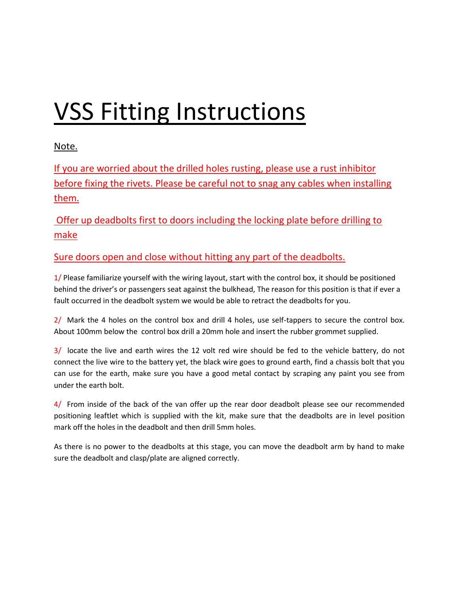# VSS Fitting Instructions

Note.

If you are worried about the drilled holes rusting, please use a rust inhibitor before fixing the rivets. Please be careful not to snag any cables when installing them.

Offer up deadbolts first to doors including the locking plate before drilling to make

Sure doors open and close without hitting any part of the deadbolts.

1/ Please familiarize yourself with the wiring layout, start with the control box, it should be positioned behind the driver's or passengers seat against the bulkhead, The reason for this position is that if ever a fault occurred in the deadbolt system we would be able to retract the deadbolts for you.

2/ Mark the 4 holes on the control box and drill 4 holes, use self-tappers to secure the control box. About 100mm below the control box drill a 20mm hole and insert the rubber grommet supplied.

3/ locate the live and earth wires the 12 volt red wire should be fed to the vehicle battery, do not connect the live wire to the battery yet, the black wire goes to ground earth, find a chassis bolt that you can use for the earth, make sure you have a good metal contact by scraping any paint you see from under the earth bolt.

4/ From inside of the back of the van offer up the rear door deadbolt please see our recommended positioning leaftlet which is supplied with the kit, make sure that the deadbolts are in level position mark off the holes in the deadbolt and then drill 5mm holes.

As there is no power to the deadbolts at this stage, you can move the deadbolt arm by hand to make sure the deadbolt and clasp/plate are aligned correctly.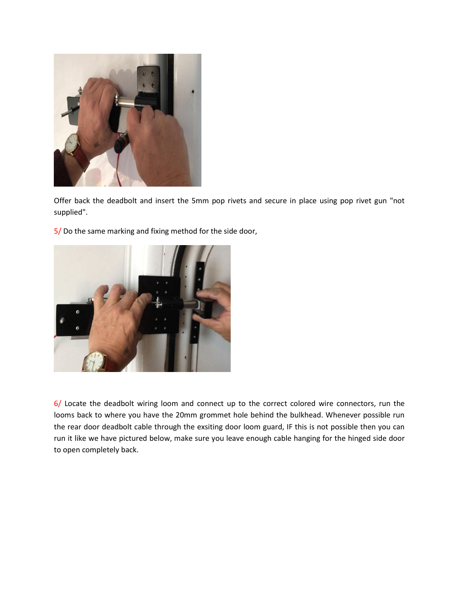

Offer back the deadbolt and insert the 5mm pop rivets and secure in place using pop rivet gun "not supplied".

5/ Do the same marking and fixing method for the side door,



6/ Locate the deadbolt wiring loom and connect up to the correct colored wire connectors, run the looms back to where you have the 20mm grommet hole behind the bulkhead. Whenever possible run the rear door deadbolt cable through the exsiting door loom guard, IF this is not possible then you can run it like we have pictured below, make sure you leave enough cable hanging for the hinged side door to open completely back.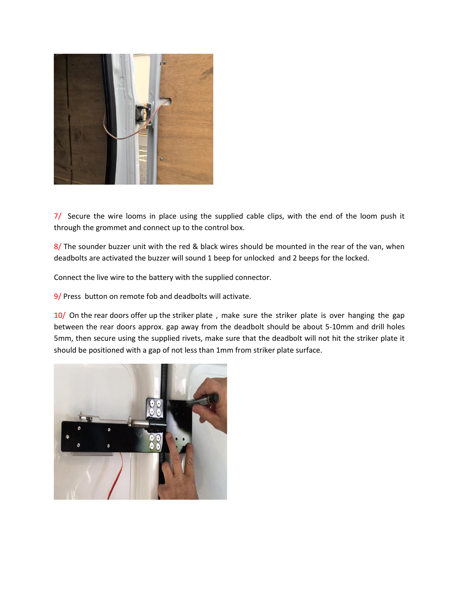

7/ Secure the wire looms in place using the supplied cable clips, with the end of the loom push it through the grommet and connect up to the control box.

8/ The sounder buzzer unit with the red & black wires should be mounted in the rear of the van, when deadbolts are activated the buzzer will sound 1 beep for unlocked and 2 beeps for the locked.

Connect the live wire to the battery with the supplied connector.

9/ Press button on remote fob and deadbolts will activate.

10/ On the rear doors offer up the striker plate, make sure the striker plate is over hanging the gap between the rear doors approx. gap away from the deadbolt should be about 5-10mm and drill holes 5mm, then secure using the supplied rivets, make sure that the deadbolt will not hit the striker plate it should be positioned with a gap of not less than 1mm from striker plate surface.

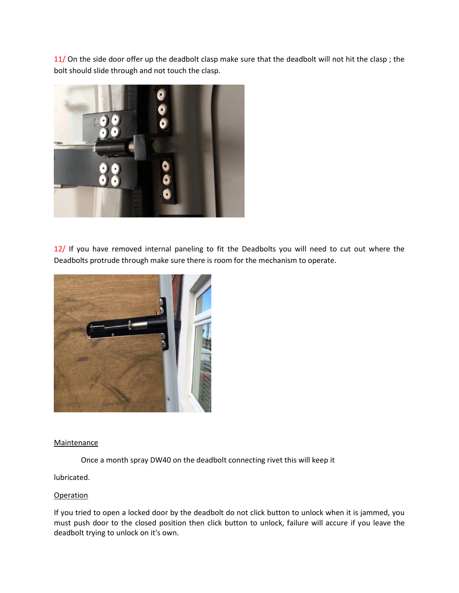11/ On the side door offer up the deadbolt clasp make sure that the deadbolt will not hit the clasp; the bolt should slide through and not touch the clasp.



12/ If you have removed internal paneling to fit the Deadbolts you will need to cut out where the Deadbolts protrude through make sure there is room for the mechanism to operate.



### **Maintenance**

Once a month spray DW40 on the deadbolt connecting rivet this will keep it

lubricated.

### **Operation**

If you tried to open a locked door by the deadbolt do not click button to unlock when it is jammed, you must push door to the closed position then click button to unlock, failure will accure if you leave the deadbolt trying to unlock on it's own.